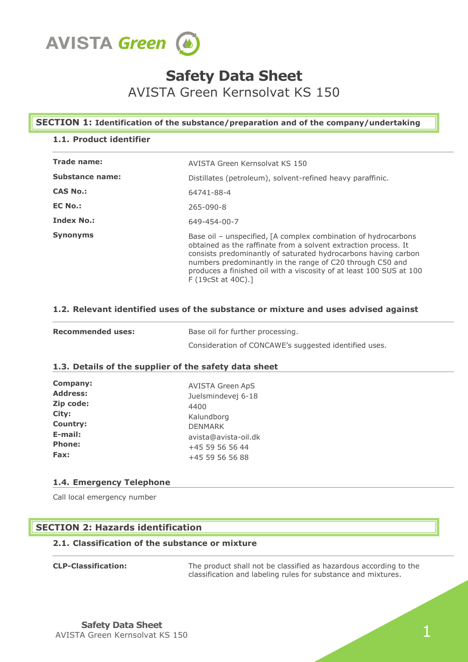

# **Safety Data Sheet**

AVISTA Green Kernsolvat KS 150

# **SECTION 1: Identification of the substance/preparation and of the company/undertaking**

# **1.1. Product identifier**

| Trade name:       | AVISTA Green Kernsolvat KS 150                                                                                                                                                                                                                                                                                                                              |  |  |
|-------------------|-------------------------------------------------------------------------------------------------------------------------------------------------------------------------------------------------------------------------------------------------------------------------------------------------------------------------------------------------------------|--|--|
| Substance name:   | Distillates (petroleum), solvent-refined heavy paraffinic.                                                                                                                                                                                                                                                                                                  |  |  |
| <b>CAS No.:</b>   | 64741-88-4                                                                                                                                                                                                                                                                                                                                                  |  |  |
| <b>EC No.:</b>    | $265 - 090 - 8$                                                                                                                                                                                                                                                                                                                                             |  |  |
| <b>Index No.:</b> | 649-454-00-7                                                                                                                                                                                                                                                                                                                                                |  |  |
| <b>Synonyms</b>   | Base oil – unspecified, [A complex combination of hydrocarbons<br>obtained as the raffinate from a solvent extraction process. It<br>consists predominantly of saturated hydrocarbons having carbon<br>numbers predominantly in the range of C20 through C50 and<br>produces a finished oil with a viscosity of at least 100 SUS at 100<br>F(19cSt at 40C). |  |  |

# **1.2. Relevant identified uses of the substance or mixture and uses advised against**

| <b>Recommended uses:</b> | Base oil for further processing.                      |  |
|--------------------------|-------------------------------------------------------|--|
|                          | Consideration of CONCAWE's suggested identified uses. |  |

### **1.3. Details of the supplier of the safety data sheet**

| <b>Company:</b> | <b>AVISTA Green ApS</b> |
|-----------------|-------------------------|
| <b>Address:</b> | Juelsmindevej 6-18      |
| Zip code:       | 4400                    |
| City:           | Kalundborg              |
| <b>Country:</b> | <b>DENMARK</b>          |
| E-mail:         | avista@avista-oil.dk    |
| <b>Phone:</b>   | +45 59 56 56 44         |
| Fax:            | +45 59 56 56 88         |

# **1.4. Emergency Telephone**

Call local emergency number

# **SECTION 2: Hazards identification**

# **2.1. Classification of the substance or mixture**

| <b>CLP-Classification:</b> |  |
|----------------------------|--|
|                            |  |

The product shall not be classified as hazardous according to the classification and labeling rules for substance and mixtures.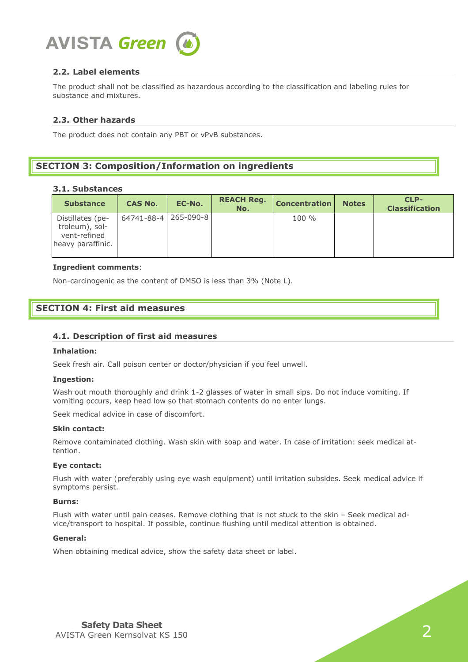

# **2.2. Label elements**

The product shall not be classified as hazardous according to the classification and labeling rules for substance and mixtures.

### **2.3. Other hazards**

The product does not contain any PBT or vPvB substances.

# **SECTION 3: Composition/Information on ingredients**

#### **3.1. Substances**

| <b>Substance</b>                                                        | <b>CAS No.</b>       | EC-No. | <b>REACH Reg.</b><br>No. | <b>Concentration</b> | <b>Notes</b> | CLP-<br><b>Classification</b> |
|-------------------------------------------------------------------------|----------------------|--------|--------------------------|----------------------|--------------|-------------------------------|
| Distillates (pe-<br>troleum), sol-<br>vent-refined<br>heavy paraffinic. | 64741-88-4 265-090-8 |        |                          | $100 \%$             |              |                               |

#### **Ingredient comments**:

Non-carcinogenic as the content of DMSO is less than 3% (Note L).

# **SECTION 4: First aid measures**

### **4.1. Description of first aid measures**

#### **Inhalation:**

Seek fresh air. Call poison center or doctor/physician if you feel unwell.

#### **Ingestion:**

Wash out mouth thoroughly and drink 1-2 glasses of water in small sips. Do not induce vomiting. If vomiting occurs, keep head low so that stomach contents do no enter lungs.

Seek medical advice in case of discomfort.

### **Skin contact:**

Remove contaminated clothing. Wash skin with soap and water. In case of irritation: seek medical attention.

#### **Eye contact:**

Flush with water (preferably using eye wash equipment) until irritation subsides. Seek medical advice if symptoms persist.

#### **Burns:**

Flush with water until pain ceases. Remove clothing that is not stuck to the skin – Seek medical advice/transport to hospital. If possible, continue flushing until medical attention is obtained.

### **General:**

When obtaining medical advice, show the safety data sheet or label.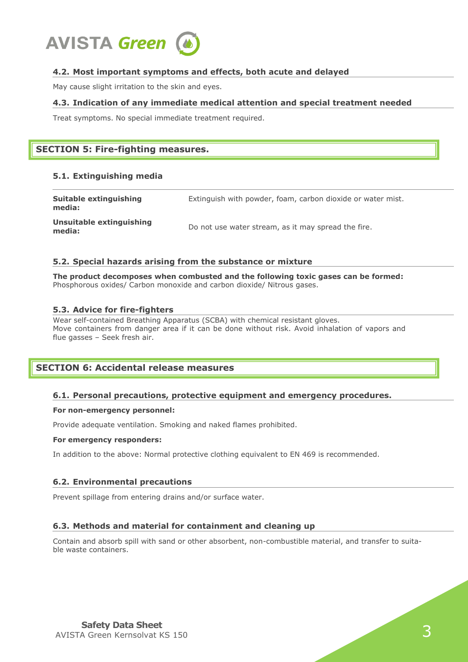

# **4.2. Most important symptoms and effects, both acute and delayed**

May cause slight irritation to the skin and eyes.

### **4.3. Indication of any immediate medical attention and special treatment needed**

Treat symptoms. No special immediate treatment required.

# **SECTION 5: Fire-fighting measures.**

### **5.1. Extinguishing media**

| Suitable extinguishing<br>media:   | Extinguish with powder, foam, carbon dioxide or water mist. |
|------------------------------------|-------------------------------------------------------------|
| Unsuitable extinguishing<br>media: | Do not use water stream, as it may spread the fire.         |

### **5.2. Special hazards arising from the substance or mixture**

**The product decomposes when combusted and the following toxic gases can be formed:** Phosphorous oxides/ Carbon monoxide and carbon dioxide/ Nitrous gases.

### **5.3. Advice for fire-fighters**

Wear self-contained Breathing Apparatus (SCBA) with chemical resistant gloves. Move containers from danger area if it can be done without risk. Avoid inhalation of vapors and flue gasses – Seek fresh air.

# **SECTION 6: Accidental release measures**

# **6.1. Personal precautions, protective equipment and emergency procedures.**

### **For non-emergency personnel:**

Provide adequate ventilation. Smoking and naked flames prohibited.

#### **For emergency responders:**

In addition to the above: Normal protective clothing equivalent to EN 469 is recommended.

### **6.2. Environmental precautions**

Prevent spillage from entering drains and/or surface water.

# **6.3. Methods and material for containment and cleaning up**

Contain and absorb spill with sand or other absorbent, non-combustible material, and transfer to suitable waste containers.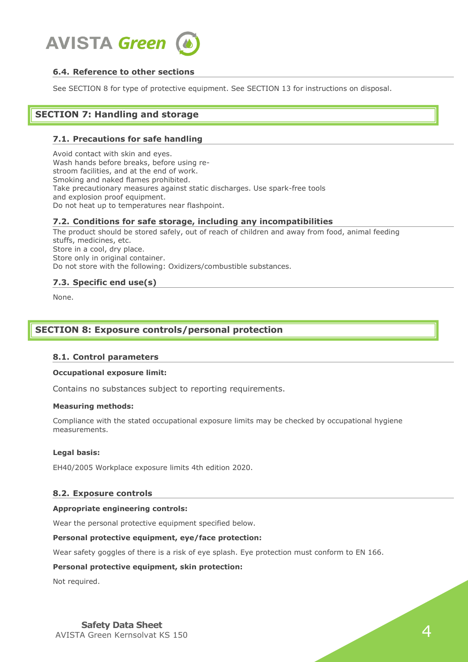

# **6.4. Reference to other sections**

See SECTION 8 for type of protective equipment. See SECTION 13 for instructions on disposal.

# **SECTION 7: Handling and storage**

### **7.1. Precautions for safe handling**

Avoid contact with skin and eyes. Wash hands before breaks, before using restroom facilities, and at the end of work. Smoking and naked flames prohibited. Take precautionary measures against static discharges. Use spark-free tools and explosion proof equipment. Do not heat up to temperatures near flashpoint.

### **7.2. Conditions for safe storage, including any incompatibilities**

The product should be stored safely, out of reach of children and away from food, animal feeding stuffs, medicines, etc. Store in a cool, dry place. Store only in original container. Do not store with the following: Oxidizers/combustible substances.

### **7.3. Specific end use(s)**

None.

# **SECTION 8: Exposure controls/personal protection**

### **8.1. Control parameters**

#### **Occupational exposure limit:**

Contains no substances subject to reporting requirements.

#### **Measuring methods:**

Compliance with the stated occupational exposure limits may be checked by occupational hygiene measurements.

#### **Legal basis:**

EH40/2005 Workplace exposure limits 4th edition 2020.

### **8.2. Exposure controls**

#### **Appropriate engineering controls:**

Wear the personal protective equipment specified below.

#### **Personal protective equipment, eye/face protection:**

Wear safety goggles of there is a risk of eye splash. Eye protection must conform to EN 166.

### **Personal protective equipment, skin protection:**

Not required.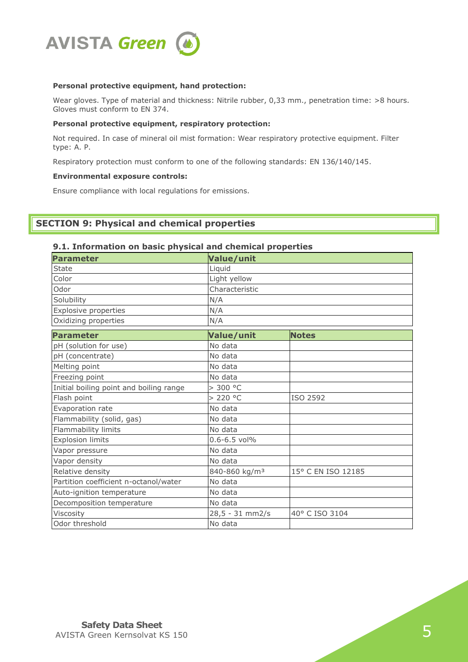

### **Personal protective equipment, hand protection:**

Wear gloves. Type of material and thickness: Nitrile rubber, 0,33 mm., penetration time: >8 hours. Gloves must conform to EN 374.

### **Personal protective equipment, respiratory protection:**

Not required. In case of mineral oil mist formation: Wear respiratory protective equipment. Filter type: A. P.

Respiratory protection must conform to one of the following standards: EN 136/140/145.

### **Environmental exposure controls:**

Ensure compliance with local regulations for emissions.

# **SECTION 9: Physical and chemical properties**

# **9.1. Information on basic physical and chemical properties**

| <b>Parameter</b>                        | <b>Value/unit</b>         |                    |  |
|-----------------------------------------|---------------------------|--------------------|--|
| <b>State</b>                            | Liquid                    |                    |  |
| Color                                   | Light yellow              |                    |  |
| Odor                                    | Characteristic            |                    |  |
| Solubility                              | N/A                       |                    |  |
| Explosive properties                    | N/A                       |                    |  |
| Oxidizing properties                    | N/A                       |                    |  |
| <b>Parameter</b>                        | Value/unit                | <b>Notes</b>       |  |
| pH (solution for use)                   | No data                   |                    |  |
| pH (concentrate)                        | No data                   |                    |  |
| Melting point                           | No data                   |                    |  |
| Freezing point                          | No data                   |                    |  |
| Initial boiling point and boiling range | > 300 °C                  |                    |  |
| Flash point                             | > 220 °C                  | ISO 2592           |  |
| Evaporation rate                        | No data                   |                    |  |
| Flammability (solid, gas)               | No data                   |                    |  |
| Flammability limits                     | No data                   |                    |  |
| <b>Explosion limits</b>                 | $0.6 - 6.5$ vol%          |                    |  |
| Vapor pressure                          | No data                   |                    |  |
| Vapor density                           | No data                   |                    |  |
| Relative density                        | 840-860 kg/m <sup>3</sup> | 15° C EN ISO 12185 |  |
| Partition coefficient n-octanol/water   | No data                   |                    |  |
| Auto-ignition temperature               | No data                   |                    |  |
| Decomposition temperature               | No data                   |                    |  |
| Viscosity                               | 28,5 - 31 mm2/s           | 40° C ISO 3104     |  |
| Odor threshold                          | No data                   |                    |  |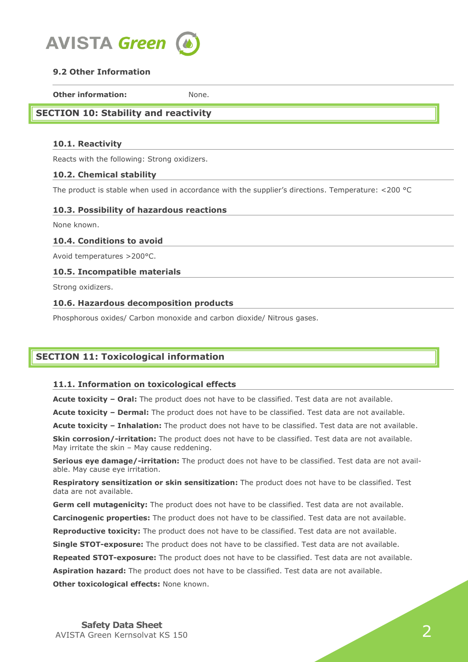

# **9.2 Other Information**

**Other information:** None.

# **SECTION 10: Stability and reactivity**

# **10.1. Reactivity**

Reacts with the following: Strong oxidizers.

# **10.2. Chemical stability**

The product is stable when used in accordance with the supplier's directions. Temperature: <200 °C

# **10.3. Possibility of hazardous reactions**

None known.

# **10.4. Conditions to avoid**

Avoid temperatures >200°C.

# **10.5. Incompatible materials**

Strong oxidizers.

# **10.6. Hazardous decomposition products**

Phosphorous oxides/ Carbon monoxide and carbon dioxide/ Nitrous gases.

# **SECTION 11: Toxicological information**

# **11.1. Information on toxicological effects**

**Acute toxicity – Oral:** The product does not have to be classified. Test data are not available.

**Acute toxicity – Dermal:** The product does not have to be classified. Test data are not available.

**Acute toxicity – Inhalation:** The product does not have to be classified. Test data are not available.

**Skin corrosion/-irritation:** The product does not have to be classified. Test data are not available. May irritate the skin – May cause reddening.

**Serious eye damage/-irritation:** The product does not have to be classified. Test data are not available. May cause eye irritation.

**Respiratory sensitization or skin sensitization:** The product does not have to be classified. Test data are not available.

**Germ cell mutagenicity:** The product does not have to be classified. Test data are not available. **Carcinogenic properties:** The product does not have to be classified. Test data are not available. **Reproductive toxicity:** The product does not have to be classified. Test data are not available. **Single STOT-exposure:** The product does not have to be classified. Test data are not available. **Repeated STOT-exposure:** The product does not have to be classified. Test data are not available. **Aspiration hazard:** The product does not have to be classified. Test data are not available. **Other toxicological effects:** None known.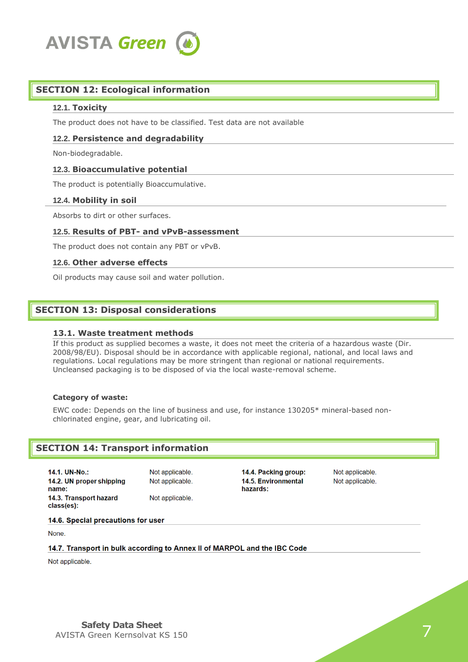

# **SECTION 12: Ecological information**

#### **12.1. Toxicity**

The product does not have to be classified. Test data are not available

#### **12.2. Persistence and degradability**

Non-biodegradable.

#### **12.3. Bioaccumulative potential**

The product is potentially Bioaccumulative.

#### **12.4. Mobility in soil**

Absorbs to dirt or other surfaces.

#### **12.5. Results of PBT- and vPvB-assessment**

The product does not contain any PBT or vPvB.

#### **12.6. Other adverse effects**

Oil products may cause soil and water pollution.

### **SECTION 13: Disposal considerations**

### **13.1. Waste treatment methods**

If this product as supplied becomes a waste, it does not meet the criteria of a hazardous waste (Dir. 2008/98/EU). Disposal should be in accordance with applicable regional, national, and local laws and regulations. Local regulations may be more stringent than regional or national requirements. Uncleansed packaging is to be disposed of via the local waste-removal scheme.

### **Category of waste:**

EWC code: Depends on the line of business and use, for instance 130205\* mineral-based nonchlorinated engine, gear, and lubricating oil.

# **SECTION 14: Transport information**

14.1. UN-No.: 14.2. UN proper shipping name<sup>-</sup> 14.3. Transport hazard class(es):

Not applicable. Not applicable. Not applicable.

14.4. Packing group: **14.5. Environmental** hazards<sup>.</sup>

Not applicable. Not applicable.

14.6. Special precautions for user

None.

### 14.7. Transport in bulk according to Annex II of MARPOL and the IBC Code

Not applicable.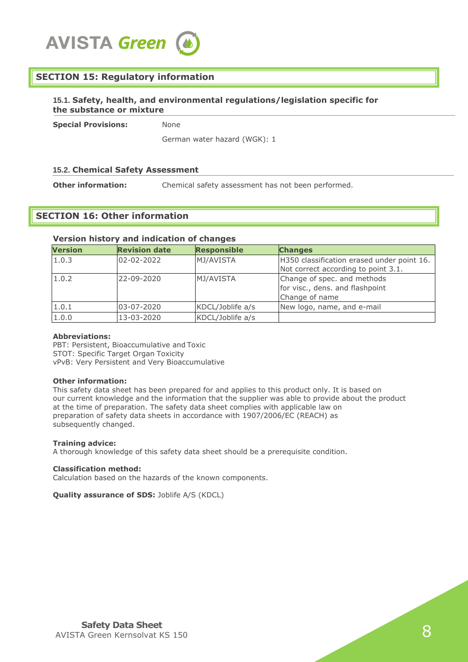

# **SECTION 15: Regulatory information**

### **15.1. Safety, health, and environmental regulations/legislation specific for the substance or mixture**

**Special Provisions:** None

German water hazard (WGK): 1

### **15.2. Chemical Safety Assessment**

**Other information:** Chemical safety assessment has not been performed.

# **SECTION 16: Other information**

#### **Version history and indication of changes**

| <b>Version</b> | <b>Revision date</b> | <b>Responsible</b> | <b>Changes</b>                                                                    |
|----------------|----------------------|--------------------|-----------------------------------------------------------------------------------|
| 1.0.3          | 02-02-2022           | MJ/AVISTA          | H350 classification erased under point 16.<br>Not correct according to point 3.1. |
| 1.0.2          | 22-09-2020           | MJ/AVISTA          | Change of spec. and methods<br>for visc., dens. and flashpoint<br>Change of name  |
| 1.0.1          | 03-07-2020           | KDCL/Joblife a/s   | New logo, name, and e-mail                                                        |
| 1.0.0          | 13-03-2020           | KDCL/Joblife a/s   |                                                                                   |

#### **Abbreviations:**

PBT: Persistent, Bioaccumulative and Toxic STOT: Specific Target Organ Toxicity vPvB: Very Persistent and Very Bioaccumulative

#### **Other information:**

This safety data sheet has been prepared for and applies to this product only. It is based on our current knowledge and the information that the supplier was able to provide about the product at the time of preparation. The safety data sheet complies with applicable law on preparation of safety data sheets in accordance with 1907/2006/EC (REACH) as subsequently changed.

#### **Training advice:**

A thorough knowledge of this safety data sheet should be a prerequisite condition.

#### **Classification method:**

Calculation based on the hazards of the known components.

**Quality assurance of SDS: Joblife A/S (KDCL)**